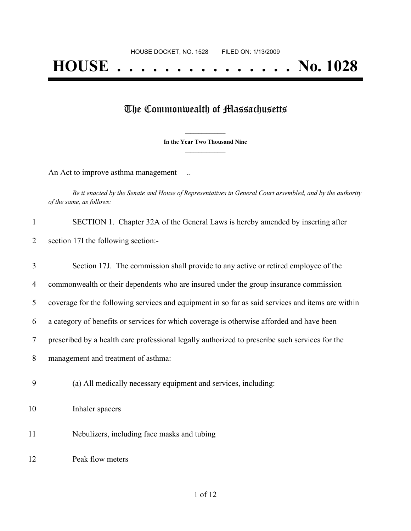## The Commonwealth of Massachusetts

**\_\_\_\_\_\_\_\_\_\_\_\_\_\_\_ In the Year Two Thousand Nine \_\_\_\_\_\_\_\_\_\_\_\_\_\_\_**

An Act to improve asthma management ...

Be it enacted by the Senate and House of Representatives in General Court assembled, and by the authority *of the same, as follows:*

| 1  | SECTION 1. Chapter 32A of the General Laws is hereby amended by inserting after                   |
|----|---------------------------------------------------------------------------------------------------|
| 2  | section 17I the following section:-                                                               |
| 3  | Section 17J. The commission shall provide to any active or retired employee of the                |
| 4  | commonwealth or their dependents who are insured under the group insurance commission             |
| 5  | coverage for the following services and equipment in so far as said services and items are within |
| 6  | a category of benefits or services for which coverage is otherwise afforded and have been         |
| 7  | prescribed by a health care professional legally authorized to prescribe such services for the    |
| 8  | management and treatment of asthma:                                                               |
| 9  | (a) All medically necessary equipment and services, including:                                    |
| 10 | Inhaler spacers                                                                                   |
| 11 | Nebulizers, including face masks and tubing                                                       |
| 12 | Peak flow meters                                                                                  |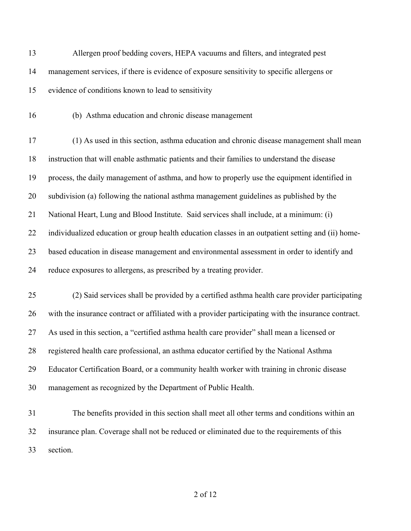| 13 | Allergen proof bedding covers, HEPA vacuums and filters, and integrated pest                         |
|----|------------------------------------------------------------------------------------------------------|
| 14 | management services, if there is evidence of exposure sensitivity to specific allergens or           |
| 15 | evidence of conditions known to lead to sensitivity                                                  |
| 16 | (b) Asthma education and chronic disease management                                                  |
| 17 | (1) As used in this section, asthma education and chronic disease management shall mean              |
| 18 | instruction that will enable asthmatic patients and their families to understand the disease         |
| 19 | process, the daily management of asthma, and how to properly use the equipment identified in         |
| 20 | subdivision (a) following the national asthma management guidelines as published by the              |
| 21 | National Heart, Lung and Blood Institute. Said services shall include, at a minimum: (i)             |
| 22 | individualized education or group health education classes in an outpatient setting and (ii) home-   |
| 23 | based education in disease management and environmental assessment in order to identify and          |
| 24 | reduce exposures to allergens, as prescribed by a treating provider.                                 |
| 25 | (2) Said services shall be provided by a certified asthma health care provider participating         |
| 26 | with the insurance contract or affiliated with a provider participating with the insurance contract. |
| 27 | As used in this section, a "certified asthma health care provider" shall mean a licensed or          |
| 28 | registered health care professional, an asthma educator certified by the National Asthma             |
| 29 | Educator Certification Board, or a community health worker with training in chronic disease          |
| 30 | management as recognized by the Department of Public Health.                                         |
|    |                                                                                                      |

 The benefits provided in this section shall meet all other terms and conditions within an insurance plan. Coverage shall not be reduced or eliminated due to the requirements of this section.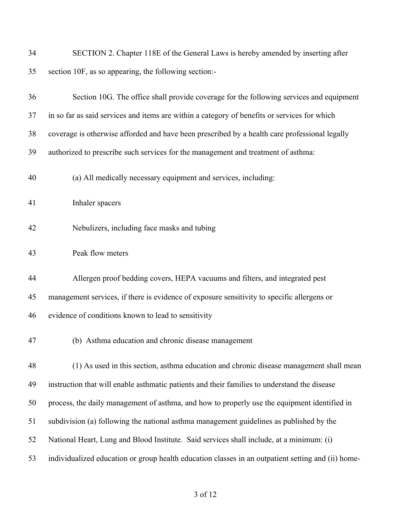| 34 | SECTION 2. Chapter 118E of the General Laws is hereby amended by inserting after                   |
|----|----------------------------------------------------------------------------------------------------|
| 35 | section 10F, as so appearing, the following section:-                                              |
| 36 | Section 10G. The office shall provide coverage for the following services and equipment            |
| 37 | in so far as said services and items are within a category of benefits or services for which       |
| 38 | coverage is otherwise afforded and have been prescribed by a health care professional legally      |
| 39 | authorized to prescribe such services for the management and treatment of asthma:                  |
| 40 | (a) All medically necessary equipment and services, including:                                     |
| 41 | Inhaler spacers                                                                                    |
| 42 | Nebulizers, including face masks and tubing                                                        |
| 43 | Peak flow meters                                                                                   |
| 44 | Allergen proof bedding covers, HEPA vacuums and filters, and integrated pest                       |
| 45 | management services, if there is evidence of exposure sensitivity to specific allergens or         |
| 46 | evidence of conditions known to lead to sensitivity                                                |
| 47 | (b) Asthma education and chronic disease management                                                |
| 48 | (1) As used in this section, asthma education and chronic disease management shall mean            |
| 49 | instruction that will enable asthmatic patients and their families to understand the disease       |
| 50 | process, the daily management of asthma, and how to properly use the equipment identified in       |
| 51 | subdivision (a) following the national asthma management guidelines as published by the            |
| 52 | National Heart, Lung and Blood Institute. Said services shall include, at a minimum: (i)           |
| 53 | individualized education or group health education classes in an outpatient setting and (ii) home- |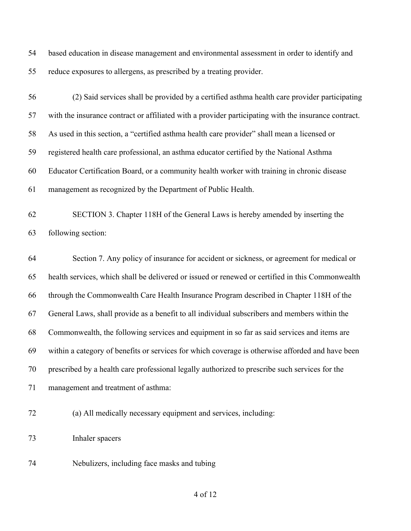based education in disease management and environmental assessment in order to identify and reduce exposures to allergens, as prescribed by a treating provider.

 (2) Said services shall be provided by a certified asthma health care provider participating with the insurance contract or affiliated with a provider participating with the insurance contract. As used in this section, a "certified asthma health care provider" shall mean a licensed or registered health care professional, an asthma educator certified by the National Asthma Educator Certification Board, or a community health worker with training in chronic disease management as recognized by the Department of Public Health.

 SECTION 3. Chapter 118H of the General Laws is hereby amended by inserting the following section:

 Section 7. Any policy of insurance for accident or sickness, or agreement for medical or health services, which shall be delivered or issued or renewed or certified in this Commonwealth through the Commonwealth Care Health Insurance Program described in Chapter 118H of the General Laws, shall provide as a benefit to all individual subscribers and members within the Commonwealth, the following services and equipment in so far as said services and items are within a category of benefits or services for which coverage is otherwise afforded and have been prescribed by a health care professional legally authorized to prescribe such services for the management and treatment of asthma:

(a) All medically necessary equipment and services, including:

- Inhaler spacers
- Nebulizers, including face masks and tubing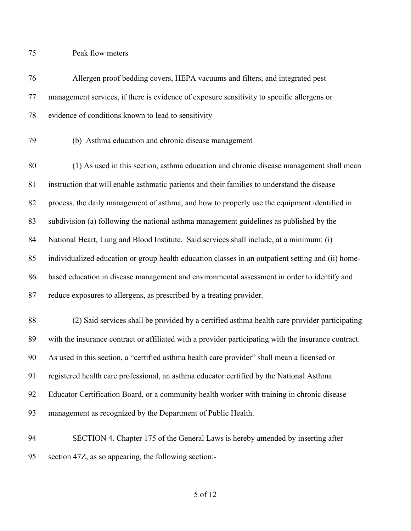Peak flow meters

| 76 | Allergen proof bedding covers, HEPA vacuums and filters, and integrated pest                         |
|----|------------------------------------------------------------------------------------------------------|
| 77 | management services, if there is evidence of exposure sensitivity to specific allergens or           |
| 78 | evidence of conditions known to lead to sensitivity                                                  |
| 79 | (b) Asthma education and chronic disease management                                                  |
| 80 | (1) As used in this section, asthma education and chronic disease management shall mean              |
| 81 | instruction that will enable asthmatic patients and their families to understand the disease         |
| 82 | process, the daily management of asthma, and how to properly use the equipment identified in         |
| 83 | subdivision (a) following the national asthma management guidelines as published by the              |
| 84 | National Heart, Lung and Blood Institute. Said services shall include, at a minimum: (i)             |
| 85 | individualized education or group health education classes in an outpatient setting and (ii) home-   |
| 86 | based education in disease management and environmental assessment in order to identify and          |
| 87 | reduce exposures to allergens, as prescribed by a treating provider.                                 |
| 88 | (2) Said services shall be provided by a certified asthma health care provider participating         |
| 89 | with the insurance contract or affiliated with a provider participating with the insurance contract. |
| 90 | As used in this section, a "certified asthma health care provider" shall mean a licensed or          |
| 91 | registered health care professional, an asthma educator certified by the National Asthma             |
| 92 | Educator Certification Board, or a community health worker with training in chronic disease          |
| 93 | management as recognized by the Department of Public Health.                                         |
| 94 | SECTION 4. Chapter 175 of the General Laws is hereby amended by inserting after                      |
| 95 | section 47Z, as so appearing, the following section:-                                                |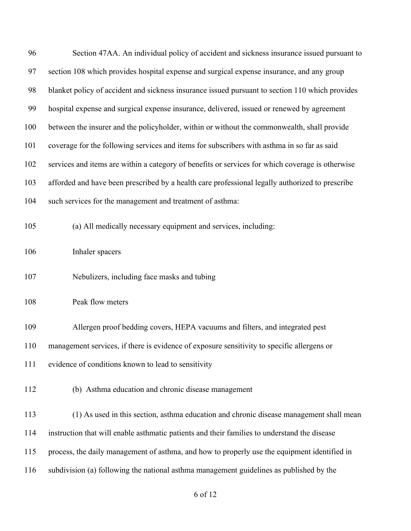| 96  | Section 47AA. An individual policy of accident and sickness insurance issued pursuant to         |
|-----|--------------------------------------------------------------------------------------------------|
| 97  | section 108 which provides hospital expense and surgical expense insurance, and any group        |
| 98  | blanket policy of accident and sickness insurance issued pursuant to section 110 which provides  |
| 99  | hospital expense and surgical expense insurance, delivered, issued or renewed by agreement       |
| 100 | between the insurer and the policyholder, within or without the commonwealth, shall provide      |
| 101 | coverage for the following services and items for subscribers with asthma in so far as said      |
| 102 | services and items are within a category of benefits or services for which coverage is otherwise |
| 103 | afforded and have been prescribed by a health care professional legally authorized to prescribe  |
| 104 | such services for the management and treatment of asthma:                                        |
| 105 | (a) All medically necessary equipment and services, including:                                   |
| 106 | Inhaler spacers                                                                                  |
| 107 | Nebulizers, including face masks and tubing                                                      |
| 108 | Peak flow meters                                                                                 |
| 109 | Allergen proof bedding covers, HEPA vacuums and filters, and integrated pest                     |
| 110 | management services, if there is evidence of exposure sensitivity to specific allergens or       |
| 111 | evidence of conditions known to lead to sensitivity                                              |
| 112 | (b) Asthma education and chronic disease management                                              |
| 113 | (1) As used in this section, asthma education and chronic disease management shall mean          |
| 114 | instruction that will enable asthmatic patients and their families to understand the disease     |
| 115 | process, the daily management of asthma, and how to properly use the equipment identified in     |
| 116 | subdivision (a) following the national asthma management guidelines as published by the          |
|     |                                                                                                  |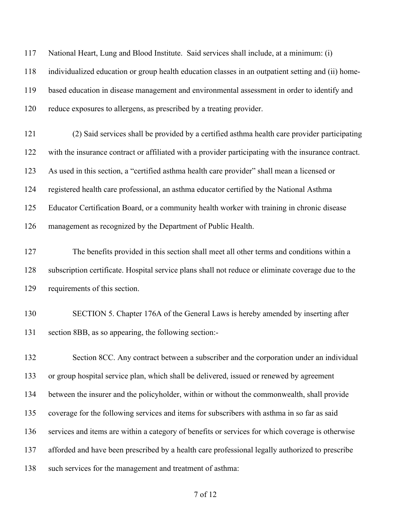National Heart, Lung and Blood Institute. Said services shall include, at a minimum: (i) individualized education or group health education classes in an outpatient setting and (ii) home- based education in disease management and environmental assessment in order to identify and reduce exposures to allergens, as prescribed by a treating provider.

 (2) Said services shall be provided by a certified asthma health care provider participating with the insurance contract or affiliated with a provider participating with the insurance contract. As used in this section, a "certified asthma health care provider" shall mean a licensed or registered health care professional, an asthma educator certified by the National Asthma Educator Certification Board, or a community health worker with training in chronic disease management as recognized by the Department of Public Health.

 The benefits provided in this section shall meet all other terms and conditions within a subscription certificate. Hospital service plans shall not reduce or eliminate coverage due to the requirements of this section.

 SECTION 5. Chapter 176A of the General Laws is hereby amended by inserting after section 8BB, as so appearing, the following section:-

 Section 8CC. Any contract between a subscriber and the corporation under an individual or group hospital service plan, which shall be delivered, issued or renewed by agreement between the insurer and the policyholder, within or without the commonwealth, shall provide coverage for the following services and items for subscribers with asthma in so far as said services and items are within a category of benefits or services for which coverage is otherwise afforded and have been prescribed by a health care professional legally authorized to prescribe such services for the management and treatment of asthma: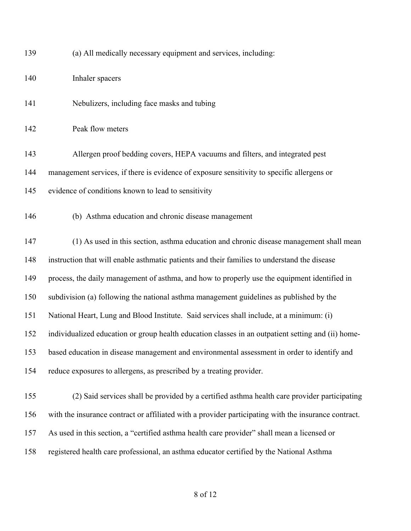| 139 | (a) All medically necessary equipment and services, including:                                       |
|-----|------------------------------------------------------------------------------------------------------|
| 140 | Inhaler spacers                                                                                      |
| 141 | Nebulizers, including face masks and tubing                                                          |
| 142 | Peak flow meters                                                                                     |
| 143 | Allergen proof bedding covers, HEPA vacuums and filters, and integrated pest                         |
| 144 | management services, if there is evidence of exposure sensitivity to specific allergens or           |
| 145 | evidence of conditions known to lead to sensitivity                                                  |
| 146 | (b) Asthma education and chronic disease management                                                  |
| 147 | (1) As used in this section, asthma education and chronic disease management shall mean              |
| 148 | instruction that will enable asthmatic patients and their families to understand the disease         |
| 149 | process, the daily management of asthma, and how to properly use the equipment identified in         |
| 150 | subdivision (a) following the national asthma management guidelines as published by the              |
| 151 | National Heart, Lung and Blood Institute. Said services shall include, at a minimum: (i)             |
| 152 | individualized education or group health education classes in an outpatient setting and (ii) home-   |
| 153 | based education in disease management and environmental assessment in order to identify and          |
| 154 | reduce exposures to allergens, as prescribed by a treating provider.                                 |
| 155 | (2) Said services shall be provided by a certified asthma health care provider participating         |
| 156 | with the insurance contract or affiliated with a provider participating with the insurance contract. |
| 157 | As used in this section, a "certified asthma health care provider" shall mean a licensed or          |
| 158 | registered health care professional, an asthma educator certified by the National Asthma             |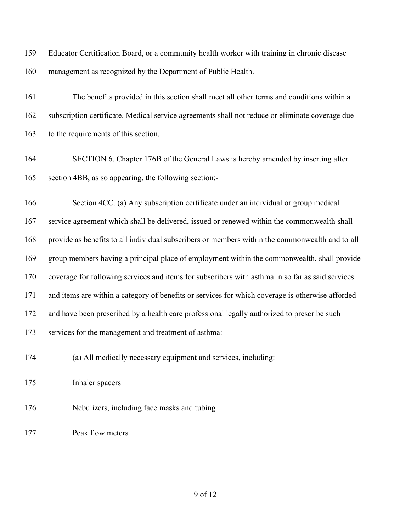Educator Certification Board, or a community health worker with training in chronic disease management as recognized by the Department of Public Health.

 The benefits provided in this section shall meet all other terms and conditions within a subscription certificate. Medical service agreements shall not reduce or eliminate coverage due to the requirements of this section.

 SECTION 6. Chapter 176B of the General Laws is hereby amended by inserting after section 4BB, as so appearing, the following section:-

 Section 4CC. (a) Any subscription certificate under an individual or group medical service agreement which shall be delivered, issued or renewed within the commonwealth shall provide as benefits to all individual subscribers or members within the commonwealth and to all group members having a principal place of employment within the commonwealth, shall provide coverage for following services and items for subscribers with asthma in so far as said services and items are within a category of benefits or services for which coverage is otherwise afforded and have been prescribed by a health care professional legally authorized to prescribe such services for the management and treatment of asthma:

(a) All medically necessary equipment and services, including:

Inhaler spacers

Nebulizers, including face masks and tubing

Peak flow meters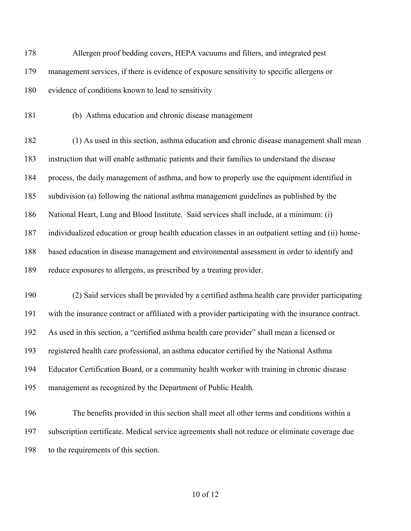Allergen proof bedding covers, HEPA vacuums and filters, and integrated pest management services, if there is evidence of exposure sensitivity to specific allergens or evidence of conditions known to lead to sensitivity

(b) Asthma education and chronic disease management

 (1) As used in this section, asthma education and chronic disease management shall mean instruction that will enable asthmatic patients and their families to understand the disease process, the daily management of asthma, and how to properly use the equipment identified in subdivision (a) following the national asthma management guidelines as published by the National Heart, Lung and Blood Institute. Said services shall include, at a minimum: (i) individualized education or group health education classes in an outpatient setting and (ii) home- based education in disease management and environmental assessment in order to identify and reduce exposures to allergens, as prescribed by a treating provider.

 (2) Said services shall be provided by a certified asthma health care provider participating with the insurance contract or affiliated with a provider participating with the insurance contract. As used in this section, a "certified asthma health care provider" shall mean a licensed or registered health care professional, an asthma educator certified by the National Asthma Educator Certification Board, or a community health worker with training in chronic disease management as recognized by the Department of Public Health.

 The benefits provided in this section shall meet all other terms and conditions within a subscription certificate. Medical service agreements shall not reduce or eliminate coverage due to the requirements of this section.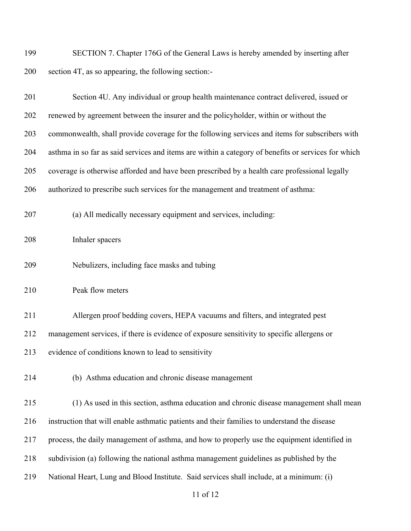SECTION 7. Chapter 176G of the General Laws is hereby amended by inserting after section 4T, as so appearing, the following section:-

| 201 | Section 4U. Any individual or group health maintenance contract delivered, issued or                |
|-----|-----------------------------------------------------------------------------------------------------|
| 202 | renewed by agreement between the insurer and the policyholder, within or without the                |
| 203 | commonwealth, shall provide coverage for the following services and items for subscribers with      |
| 204 | asthma in so far as said services and items are within a category of benefits or services for which |
| 205 | coverage is otherwise afforded and have been prescribed by a health care professional legally       |
| 206 | authorized to prescribe such services for the management and treatment of asthma:                   |
| 207 | (a) All medically necessary equipment and services, including:                                      |
| 208 | Inhaler spacers                                                                                     |
| 209 | Nebulizers, including face masks and tubing                                                         |
| 210 | Peak flow meters                                                                                    |
| 211 | Allergen proof bedding covers, HEPA vacuums and filters, and integrated pest                        |
| 212 | management services, if there is evidence of exposure sensitivity to specific allergens or          |
| 213 | evidence of conditions known to lead to sensitivity                                                 |
| 214 | (b) Asthma education and chronic disease management                                                 |
| 215 | (1) As used in this section, asthma education and chronic disease management shall mean             |
| 216 | instruction that will enable asthmatic patients and their families to understand the disease        |
| 217 | process, the daily management of asthma, and how to properly use the equipment identified in        |
| 218 | subdivision (a) following the national asthma management guidelines as published by the             |
| 219 | National Heart, Lung and Blood Institute. Said services shall include, at a minimum: (i)            |